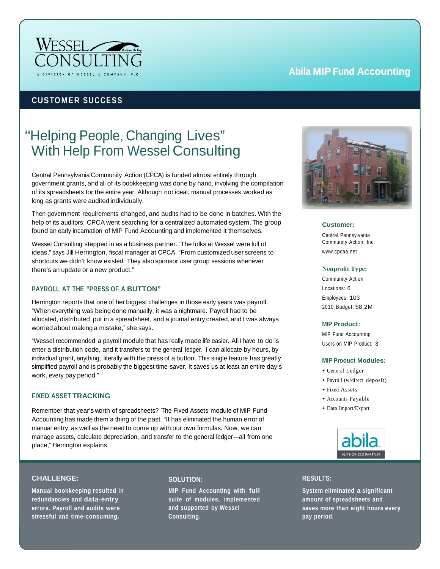

# **Abila MIP Fund Accounting**

# **CUSTOMER SUCCESS**

# "Helping People, Changing Lives" With Help From Wessel Consulting

Central Pennsylvania Community Action (CPCA) is funded almost entirely through government grants, and all of its bookkeeping was done by hand, involving the compilation of its spreadsheets for the entire year. Although not ideal, manual processes worked as long as grants were audited individually.

Then government requirements changed, and audits had to be done in batches. With the help of its auditors, CPCA went searching for a centralized automated system. The group found an early incarnation of MIP Fund Accounting and implemented it themselves.

Wessel Consulting stepped in as a business partner. "The folks at Wessel were full of ideas," says Jill Herrington, fiscal manager at CPCA. "From customized user screens to shortcuts we didn't know existed. They also sponsor user group sessions whenever there's an update or a new product."

## **PAYROLL AT THE "PRESS OF A BUTTON"**

Herrington reports that one of her biggest challenges in those early years was payroll. "When everything was being done manually, it was a nightmare. Payroll had to be allocated, distributed, put in a spreadsheet, and a journal entry created, and I was always worried about making a mistake," she says.

"Wessel recommended a payroll module that has really made life easier. All I have to do is enter a distribution code, and it transfers to the general ledger. I can allocate by hours, by individual grant, anything, literally with the press of a button. This single feature has greatly simplified payroll and is probably the biggest time-saver. It saves us at least an entire day's work, every pay period."

## **FIXED ASSET TRACKING**

Remember that year's worth of spreadsheets? The Fixed Assets module of MIP Fund Accounting has made them a thing of the past. "It has eliminated the human error of manual entry, as well as the need to come up with our own formulas. Now, we can manage assets, calculate depreciation, and transfer to the general ledger—all from one place," Herrington explains.

# **CHALLENGE:**

**Manual bookkeeping resulted in redundancies and data-entry errors. Payroll and audits were stressful and time-consuming.**

#### **SOLUTION:**

**MIP Fund Accounting with full suite of modules, implemented and supported by Wessel Consulting.**



**Customer:**

Central Pennsylvania Community Action, Inc. [www.cpcaa.net](http://www.cpcaa.net/)

#### **Nonprofit Type:**

Community Action Locations: 6 Employees: 103 2010 Budget: \$8.2M

#### **MIP Product:**

MIP Fund Accounting Users on MIP Product: 3

#### **MIP Product Modules:**

- General Ledger
- Payroll (w/direct deposit)
- Fixed Assets
- Accounts Payable
- Data Import/Export



# **RESULTS:**

**System eliminated a significant amount of spreadsheets and saves more than eight hours every pay period.**